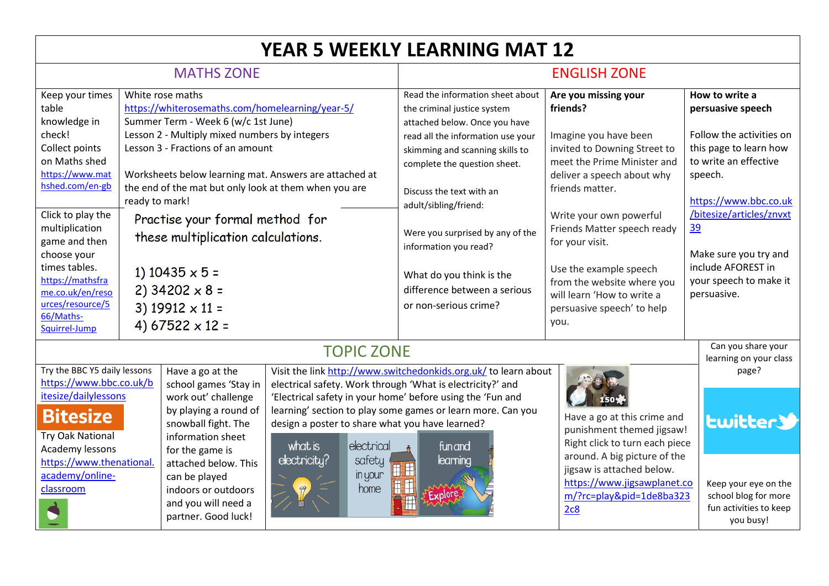## **YEAR 5 WEEKLY LEARNING MAT 12**

| <b>MATHS ZONE</b>                                                                                                                                                                                           |                |                                                                                                                                                                                                                                                                                      |                                                                                                                                                                                                                                                                                                                                        | <b>ENGLISH ZONE</b>                                                                                                                                                                                                                                                                 |                                                                                                                                                                                                                                                                            |                                                                                                                                                                                                                                   |
|-------------------------------------------------------------------------------------------------------------------------------------------------------------------------------------------------------------|----------------|--------------------------------------------------------------------------------------------------------------------------------------------------------------------------------------------------------------------------------------------------------------------------------------|----------------------------------------------------------------------------------------------------------------------------------------------------------------------------------------------------------------------------------------------------------------------------------------------------------------------------------------|-------------------------------------------------------------------------------------------------------------------------------------------------------------------------------------------------------------------------------------------------------------------------------------|----------------------------------------------------------------------------------------------------------------------------------------------------------------------------------------------------------------------------------------------------------------------------|-----------------------------------------------------------------------------------------------------------------------------------------------------------------------------------------------------------------------------------|
| Keep your times<br>table                                                                                                                                                                                    |                | White rose maths<br>https://whiterosemaths.com/homelearning/year-5/                                                                                                                                                                                                                  |                                                                                                                                                                                                                                                                                                                                        | Read the information sheet about<br>the criminal justice system                                                                                                                                                                                                                     | Are you missing your<br>friends?                                                                                                                                                                                                                                           | How to write a<br>persuasive speech                                                                                                                                                                                               |
| knowledge in<br>check!<br>Collect points<br>on Maths shed<br>https://www.mat<br>hshed.com/en-gb<br>Click to play the<br>multiplication<br>game and then<br>choose your<br>times tables.<br>https://mathsfra | ready to mark! | Summer Term - Week 6 (w/c 1st June)<br>Lesson 2 - Multiply mixed numbers by integers<br>Lesson 3 - Fractions of an amount<br>the end of the mat but only look at them when you are<br>Practise your formal method for<br>these multiplication calculations.<br>1) $10435 \times 5 =$ | Worksheets below learning mat. Answers are attached at                                                                                                                                                                                                                                                                                 | attached below. Once you have<br>read all the information use your<br>skimming and scanning skills to<br>complete the question sheet.<br>Discuss the text with an<br>adult/sibling/friend:<br>Were you surprised by any of the<br>information you read?<br>What do you think is the | Imagine you have been<br>invited to Downing Street to<br>meet the Prime Minister and<br>deliver a speech about why<br>friends matter.<br>Write your own powerful<br>Friends Matter speech ready<br>for your visit.<br>Use the example speech<br>from the website where you | Follow the activities on<br>this page to learn how<br>to write an effective<br>speech.<br>https://www.bbc.co.uk<br>/bitesize/articles/znvxt<br><u>39</u><br>Make sure you try and<br>include AFOREST in<br>your speech to make it |
| me.co.uk/en/reso<br>urces/resource/5<br>66/Maths-<br>Squirrel-Jump                                                                                                                                          |                | 2) 34202 $\times$ 8 =<br>3) $19912 \times 11 =$<br>4) $67522 \times 12 =$                                                                                                                                                                                                            |                                                                                                                                                                                                                                                                                                                                        | difference between a serious<br>or non-serious crime?                                                                                                                                                                                                                               | will learn 'How to write a<br>persuasive speech' to help<br>you.                                                                                                                                                                                                           | persuasive.                                                                                                                                                                                                                       |
| <b>TOPIC ZONE</b><br>Try the BBC Y5 daily lessons<br>Have a go at the                                                                                                                                       |                |                                                                                                                                                                                                                                                                                      |                                                                                                                                                                                                                                                                                                                                        | Visit the link http://www.switchedonkids.org.uk/ to learn about                                                                                                                                                                                                                     |                                                                                                                                                                                                                                                                            | Can you share your<br>learning on your class<br>page?                                                                                                                                                                             |
| https://www.bbc.co.uk/b<br>itesize/dailylessons<br><b>Bitesize</b><br><b>Try Oak National</b><br>Academy lessons<br>https://www.thenational.<br>academy/online-<br>classroom                                |                | school games 'Stay in<br>work out' challenge<br>by playing a round of<br>snowball fight. The<br>information sheet<br>for the game is<br>attached below. This<br>can be played<br>indoors or outdoors<br>and you will need a<br>partner. Good luck!                                   | electrical safety. Work through 'What is electricity?' and<br>'Electrical safety in your home' before using the 'Fun and<br>learning' section to play some games or learn more. Can you<br>design a poster to share what you have learned?<br>electrical<br>what is<br>funand<br>electricity?<br>safety<br>learning<br>in your<br>home |                                                                                                                                                                                                                                                                                     | Have a go at this crime and<br>punishment themed jigsaw!<br>Right click to turn each piece<br>around. A big picture of the<br>jigsaw is attached below.<br>https://www.jigsawplanet.co<br>m/?rc=play&pid=1de8ba323<br>2c8                                                  | <b>Lwitter3</b><br>Keep your eye on the<br>school blog for more<br>fun activities to keep<br>you busy!                                                                                                                            |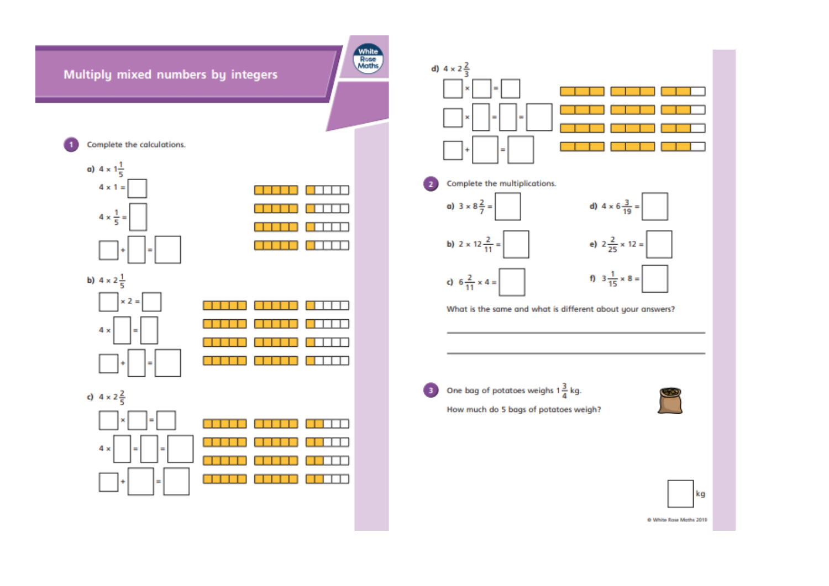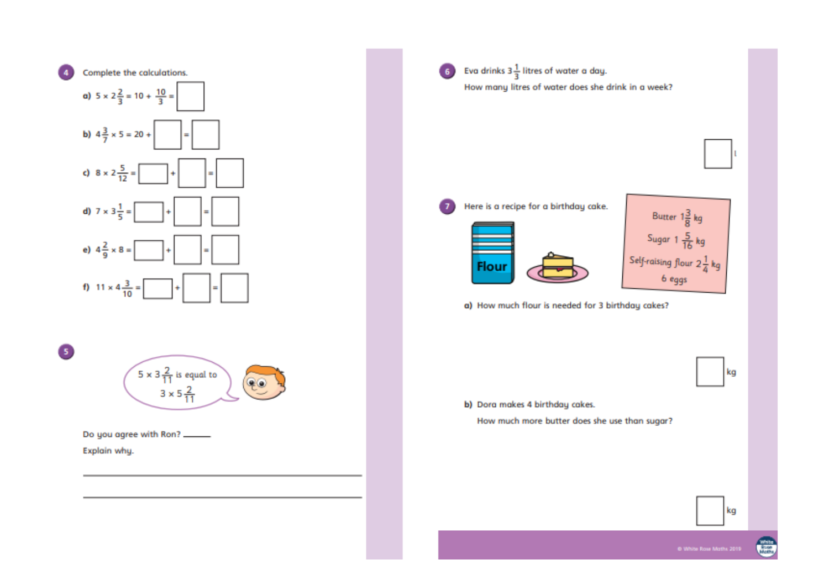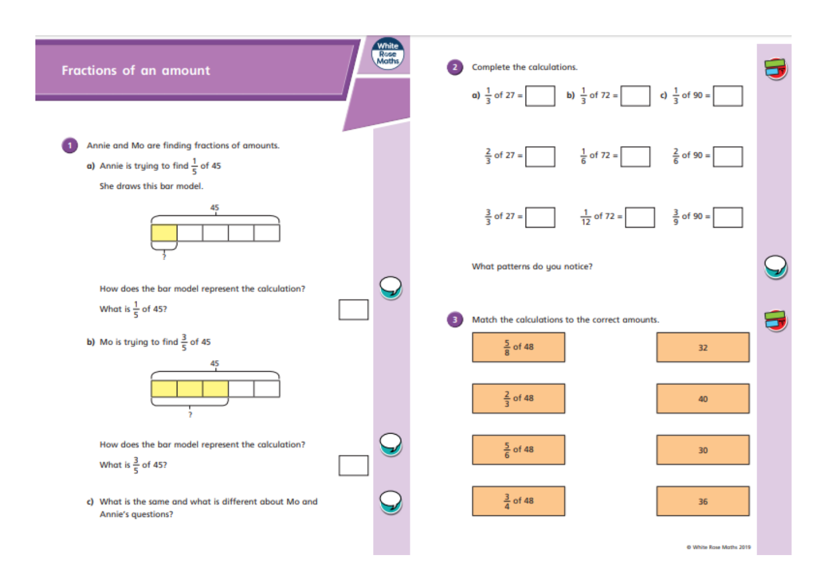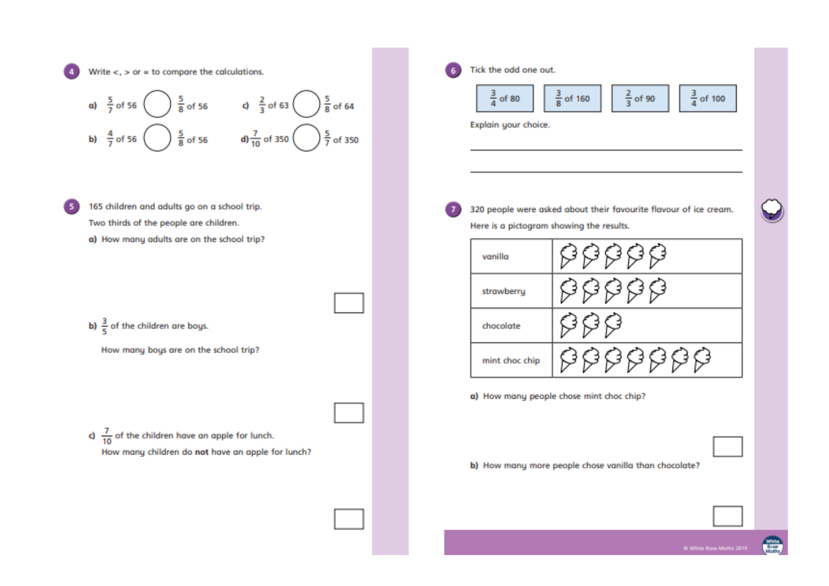

a) 
$$
\frac{5}{7}
$$
 of 56  $\bigodot \frac{5}{8}$  of 56  
b)  $\frac{4}{7}$  of 56  $\bigodot \frac{5}{8}$  of 56  
d)  $\frac{7}{10}$  of 350  $\bigodot \frac{5}{7}$  of 350

165 children and adults go on a school trip. Two thirds of the people are children. a) How many adults are on the school trip?

b)  $\frac{3}{5}$  of the children are boys.

 $\sqrt{5}$ 

How many boys are on the school trip?

c)  $\frac{7}{10}$  of the children have an apple for lunch. How many children do not have an apple for lunch?  $6<sup>2</sup>$ 

#### Tick the odd one out.



Explain your choice.

320 people were asked about their favourite flavour of ice cream. Here is a pictogram showing the results.

| vanilla        | 9999               |
|----------------|--------------------|
| strawberry     | €<br>بم في م<br>€€ |
| chocolate      |                    |
| mint choc chip | 98888<br>€         |

a) How many people chose mint choc chip?

b) How many more people chose vanilla than chocolate?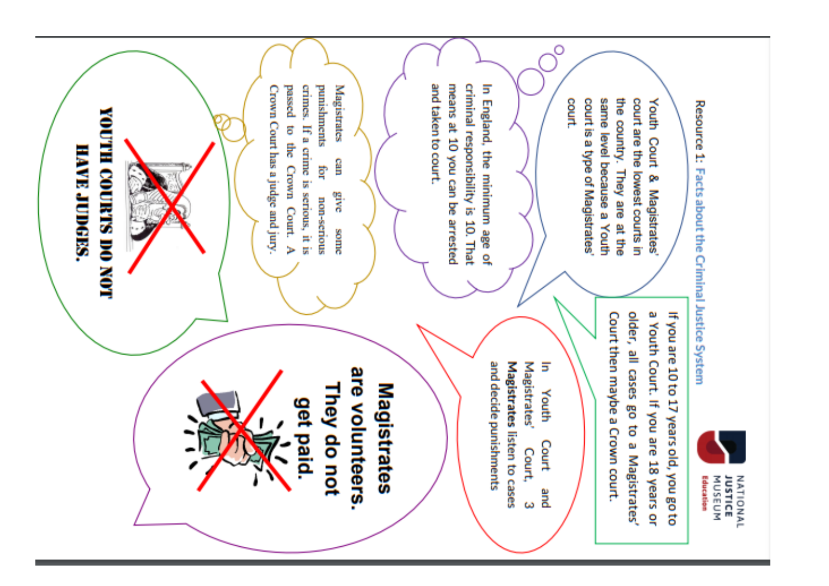

Resource 1: Facts about the Criminal Justice System

same level because a Youth court is a type of Magistrates' the country. court are the lowest courts in court Youth Court & Magistrates' They are at the

means at 10 you can be arrested criminal responsibility is 10. That and taken to court. In England, the minimum age of

> a Youth Court. If you are 18 years or If you are 10 to 17 years old, you go to older, all cases go to a Magistrates' Court then maybe a Crown court.

Magistrates' 5 Magistrates listen to cases and decide punishments Youth Court Court, **Bind** ω

are volunteers Magistrates They do not get paid

passed to the Crown Court. A crimes. If a crime is serious, it is punishments Magistrates

ŝ ğ

a<sub>vi</sub>g

**SOUDS** 

non-scrious

Crown Court has a judge and jury

**TON OO STRIPO HITON HAVE JUDGES.**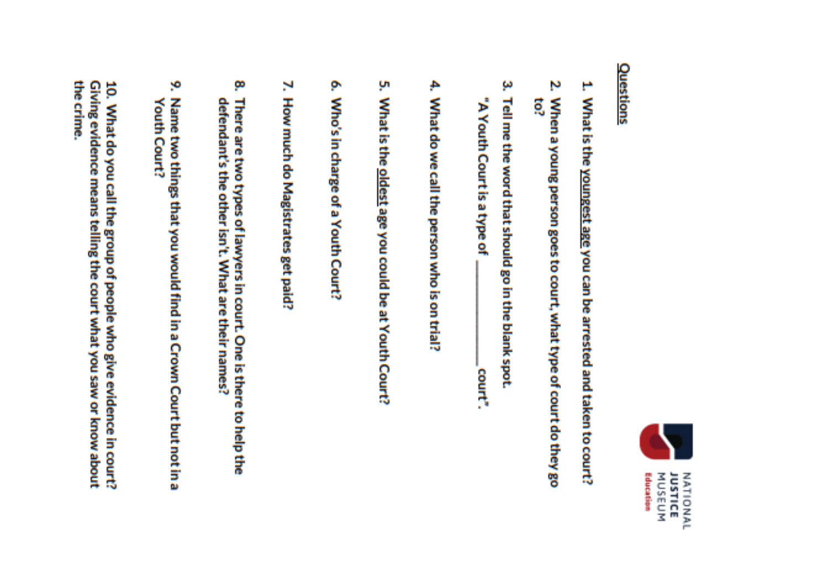

# Questions

- مي What is the youngest age you can be arrested and taken to court?
- Ņ When a young person goes to court, what type of court do they go ន្ថ
- ω Tell me the word that should go in the blank spot

"A Youth Court is a type of court".

- ₽ What do we call the person who is on trial?
- ţη What is the oldest age you could be at Youth Court?
- ۶ Who's in charge of a Youth Court?
- N How much do Magistrates get paid?
- p defendant's the other isn't. What are their names? There are two types of lawyers in court. One is there to help the
- y0 Name two things that you would find in a Crown Court but not in a Youth Court?

the crime. Giving evidence means telling the court what you saw or know about 10. What do you call the group of people who give evidence in court?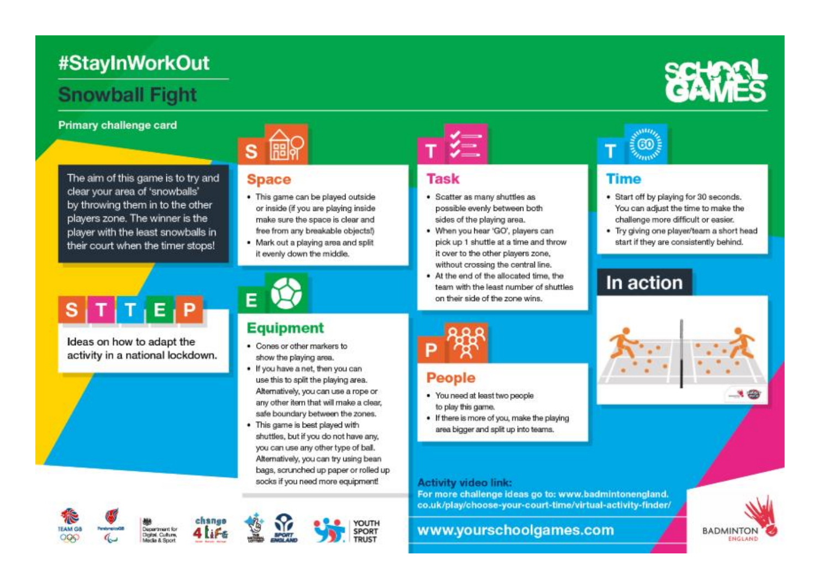## #StayInWorkOut

### **Snowball Fight**

#### Primary challenge card

The aim of this game is to try and clear your area of 'snowballs' by throwing them in to the other players zone. The winner is the player with the least snowballs in their court when the timer stops!

#### $T$ <sub>i</sub>E<sub>i</sub>P S

Ideas on how to adapt the activity in a national lockdown.

Discontinuout for

Diptol, Culture

lecto & Sport

**TEAM GB** 

999

# S

#### **Space**

- . This game can be played outside or inside (if you are playing inside make sure the space is clear and free from any breakable objects!)
- . Mark out a playing area and split. it evenly down the middle.



#### **Equipment**

- . Cones or other markers to show the playing area.
- . If you have a net, then you can use this to split the playing area. Alternatively, you can use a rope or any other item that will make a clear, safe boundary between the zones.
- This game is best played with shuttles, but if you do not have any, you can use any other type of ball. Alternatively, you can try using bean bags, scrunched up paper or rolled up socks if you need more equipment!

# 妇

#### **Task**

- · Scatter as many shuttles as possible evenly between both sides of the playing area.
- . When you hear 'GO', players can pick up 1 shuttle at a time and throw it over to the other players zone, without crossing the central line.
- . At the end of the allocated time, the team with the least number of shuttles on their side of the zone wins.

# $60$

#### **Time**

- . Start off by playing for 30 seconds. You can adjust the time to make the challenge more difficult or easier.
- . Try giving one player/team a short head start if they are consistently behind.

### In action



#### **Activity video link:**

to play this game.

. You need at least two people

. If there is more of you, make the playing

area bigger and split up into teams.

**People** 

For more challenge ideas go to: www.badmintonengland. co.uk/play/choose-your-court-time/virtual-activity-finder/

www.yourschoolgames.com







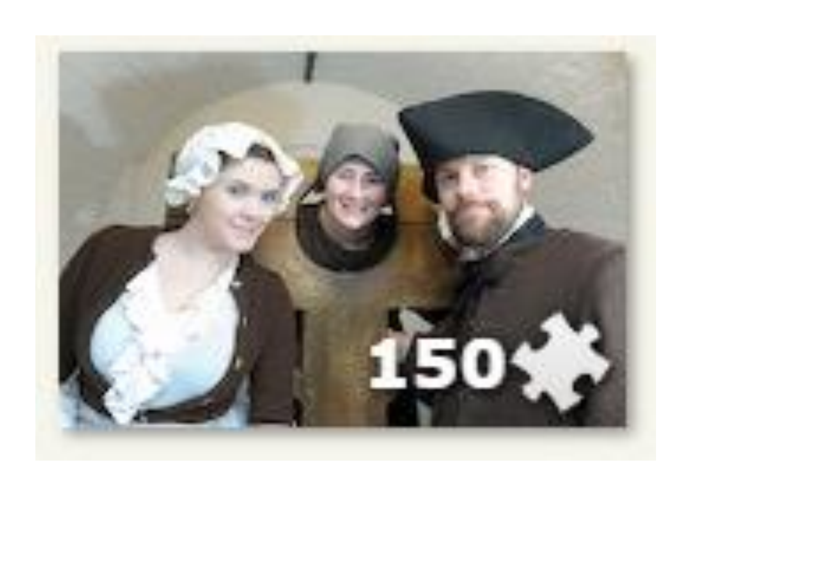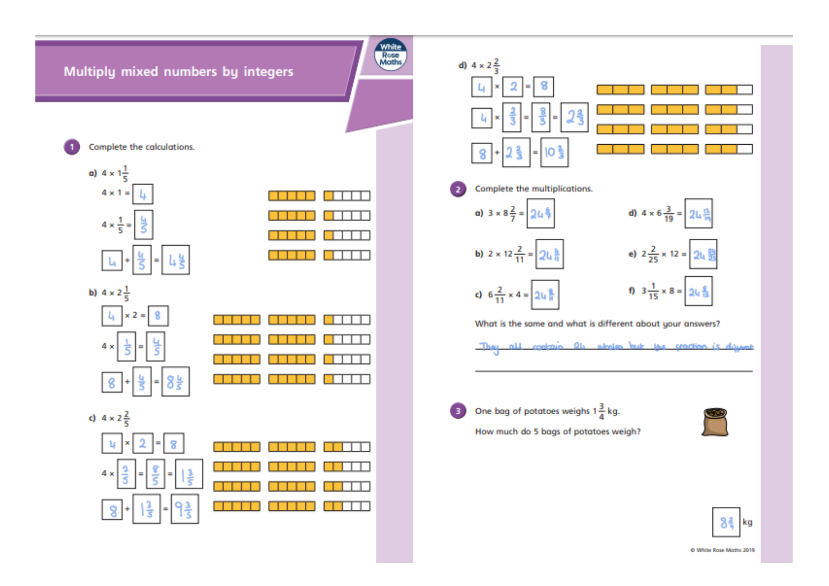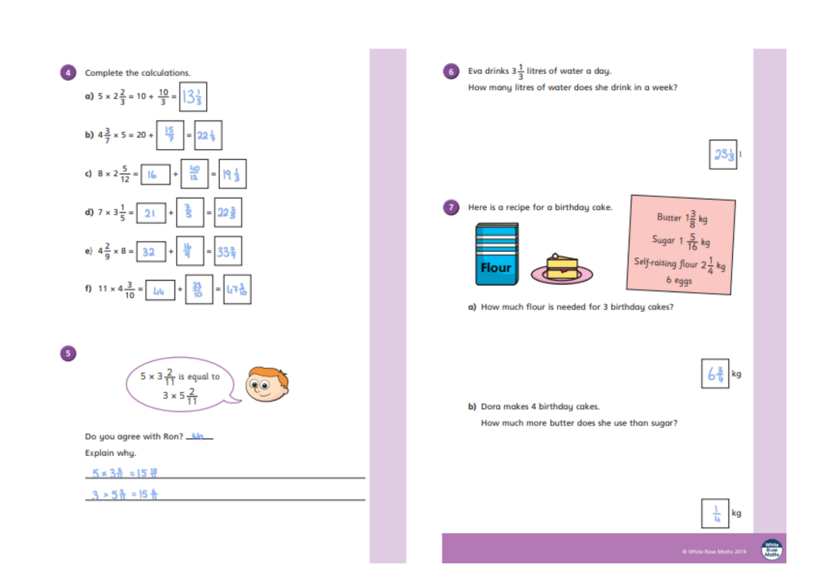

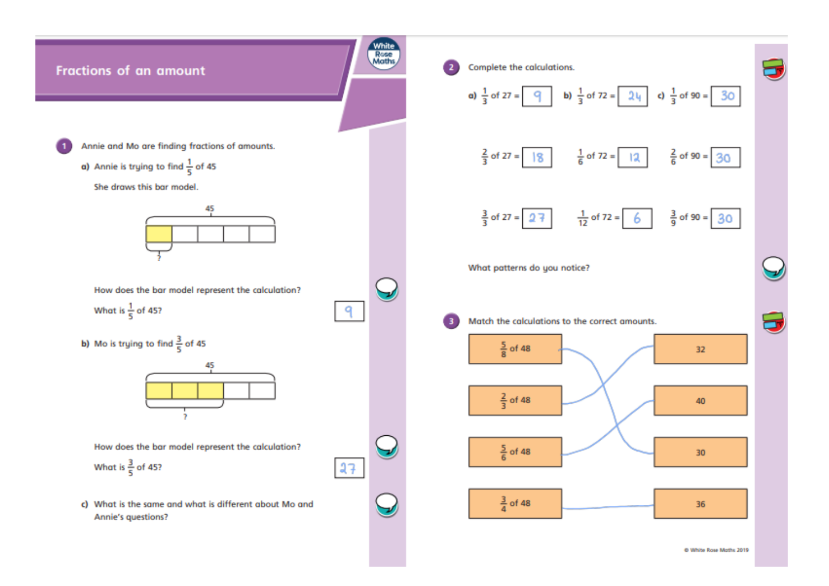

@ White Rose Maths 2019